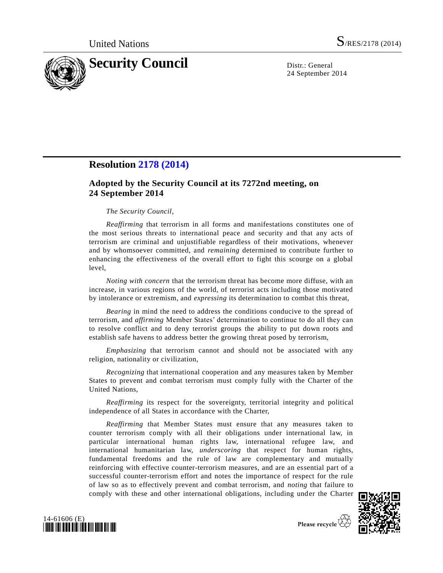

24 September 2014

# **Resolution [2178 \(2014\)](http://undocs.org/S/RES/2178(2014))**

# **Adopted by the Security Council at its 7272nd meeting, on 24 September 2014**

## *The Security Council*,

*Reaffirming* that terrorism in all forms and manifestations constitutes one of the most serious threats to international peace and security and that any acts of terrorism are criminal and unjustifiable regardless of their motivations, whenever and by whomsoever committed, and *remaining* determined to contribute further to enhancing the effectiveness of the overall effort to fight this scourge on a global level,

*Noting with concern* that the terrorism threat has become more diffuse, with an increase, in various regions of the world, of terrorist acts including those motivated by intolerance or extremism, and *expressing* its determination to combat this threat,

*Bearing* in mind the need to address the conditions conducive to the spread of terrorism, and *affirming* Member States' determination to continue to do all they can to resolve conflict and to deny terrorist groups the ability to put down roots and establish safe havens to address better the growing threat posed by terrorism,

*Emphasizing* that terrorism cannot and should not be associated with any religion, nationality or civilization,

*Recognizing* that international cooperation and any measures taken by Member States to prevent and combat terrorism must comply fully with the Charter of the United Nations,

*Reaffirming* its respect for the sovereignty, territorial integrity and political independence of all States in accordance with the Charter,

*Reaffirming* that Member States must ensure that any measures taken to counter terrorism comply with all their obligations under international law, in particular international human rights law, international refugee law, and international humanitarian law, *underscoring* that respect for human rights, fundamental freedoms and the rule of law are complementary and mutually reinforcing with effective counter-terrorism measures, and are an essential part of a successful counter-terrorism effort and notes the importance of respect for the rule of law so as to effectively prevent and combat terrorism, and *noting* that failure to comply with these and other international obligations, including under the Charter





Please recycle  $\overleftrightarrow{C}$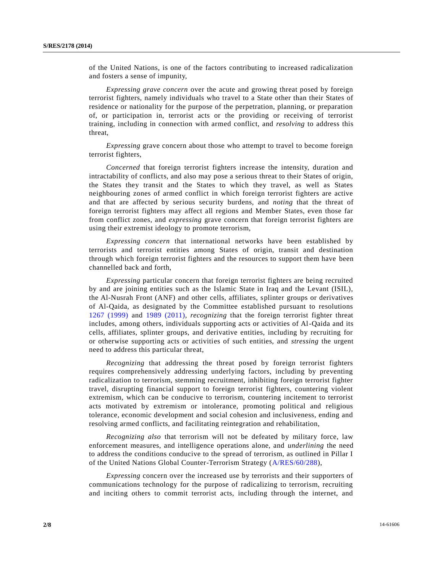of the United Nations, is one of the factors contributing to increased radicalization and fosters a sense of impunity,

*Expressing grave concern* over the acute and growing threat posed by foreign terrorist fighters, namely individuals who travel to a State other than their States of residence or nationality for the purpose of the perpetration, planning, or preparation of, or participation in, terrorist acts or the providing or receiving of terrorist training, including in connection with armed conflict, and *resolving* to address this threat,

*Expressing* grave concern about those who attempt to travel to become foreign terrorist fighters,

*Concerned* that foreign terrorist fighters increase the intensity, duration and intractability of conflicts, and also may pose a serious threat to their States of origin, the States they transit and the States to which they travel, as well as States neighbouring zones of armed conflict in which foreign terrorist fighters are active and that are affected by serious security burdens, and *noting* that the threat of foreign terrorist fighters may affect all regions and Member States, even those far from conflict zones, and *expressing* grave concern that foreign terrorist fighters are using their extremist ideology to promote terrorism,

*Expressing concern* that international networks have been established by terrorists and terrorist entities among States of origin, transit and destination through which foreign terrorist fighters and the resources to support them have been channelled back and forth,

*Expressing* particular concern that foreign terrorist fighters are being recruited by and are joining entities such as the Islamic State in Iraq and the Levant (ISIL), the Al-Nusrah Front (ANF) and other cells, affiliates, splinter groups or derivatives of Al-Qaida, as designated by the Committee established pursuant to resolutions [1267 \(1999\)](http://undocs.org/S/RES/1267(1999)) and [1989 \(2011\),](http://undocs.org/S/RES/1989(2011)) *recognizing* that the foreign terrorist fighter threat includes, among others, individuals supporting acts or activities of Al-Qaida and its cells, affiliates, splinter groups, and derivative entities, including by recruiting for or otherwise supporting acts or activities of such entities, and *stressing* the urgent need to address this particular threat,

*Recognizing* that addressing the threat posed by foreign terrorist fighters requires comprehensively addressing underlying factors, including by preventing radicalization to terrorism, stemming recruitment, inhibiting foreign terrorist fighter travel, disrupting financial support to foreign terrorist fighters, countering violent extremism, which can be conducive to terrorism, countering incitement to terrorist acts motivated by extremism or intolerance, promoting political and religious tolerance, economic development and social cohesion and inclusiveness, ending and resolving armed conflicts, and facilitating reintegration and rehabilitation,

*Recognizing also* that terrorism will not be defeated by military force, law enforcement measures, and intelligence operations alone, and *underlining* the need to address the conditions conducive to the spread of terrorism, as outlined in Pillar I of the United Nations Global Counter-Terrorism Strategy [\(A/RES/60/288\)](http://undocs.org/A/RES/60/288),

*Expressing* concern over the increased use by terrorists and their supporters of communications technology for the purpose of radicalizing to terrorism, recruiting and inciting others to commit terrorist acts, including through the internet, and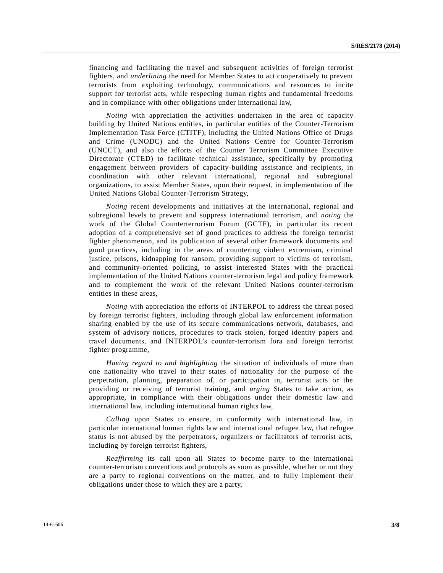financing and facilitating the travel and subsequent activities of foreign terrorist fighters, and *underlining* the need for Member States to act cooperatively to prevent terrorists from exploiting technology, communications and resources to incite support for terrorist acts, while respecting human rights and fundamental freedoms and in compliance with other obligations under international law,

*Noting* with appreciation the activities undertaken in the area of capacity building by United Nations entities, in particular entities of the Counter-Terrorism Implementation Task Force (CTITF), including the United Nations Office of Drugs and Crime (UNODC) and the United Nations Centre for Counter-Terrorism (UNCCT), and also the efforts of the Counter Terrorism Committee Executive Directorate (CTED) to facilitate technical assistance, specifically by promoting engagement between providers of capacity-building assistance and recipients, in coordination with other relevant international, regional and subregional organizations, to assist Member States, upon their request, in implementation of the United Nations Global Counter-Terrorism Strategy,

*Noting* recent developments and initiatives at the international, regional and subregional levels to prevent and suppress international terrorism, and *noting* the work of the Global Counterterrorism Forum (GCTF), in particular its recent adoption of a comprehensive set of good practices to address the foreign terrorist fighter phenomenon, and its publication of several other framework documents and good practices, including in the areas of countering violent extremism, criminal justice, prisons, kidnapping for ransom, providing support to victims of terrorism, and community-oriented policing, to assist interested States with the practical implementation of the United Nations counter-terrorism legal and policy framework and to complement the work of the relevant United Nations counter-terrorism entities in these areas,

*Noting* with appreciation the efforts of INTERPOL to address the threat posed by foreign terrorist fighters, including through global law enforcement information sharing enabled by the use of its secure communications network, databases, and system of advisory notices, procedures to track stolen, forged identity papers and travel documents, and INTERPOL's counter-terrorism fora and foreign terrorist fighter programme,

*Having regard to and highlighting* the situation of individuals of more than one nationality who travel to their states of nationality for the purpose of the perpetration, planning, preparation of, or participation in, terrorist acts or the providing or receiving of terrorist training, and *urging* States to take action, as appropriate, in compliance with their obligations under their domestic law and international law, including international human rights law,

*Calling* upon States to ensure, in conformity with international law, in particular international human rights law and international refugee law, that refugee status is not abused by the perpetrators, organizers or facilitators of terrorist acts, including by foreign terrorist fighters,

*Reaffirming* its call upon all States to become party to the international counter-terrorism conventions and protocols as soon as possible, whether or not they are a party to regional conventions on the matter, and to fully implement their obligations under those to which they are a party,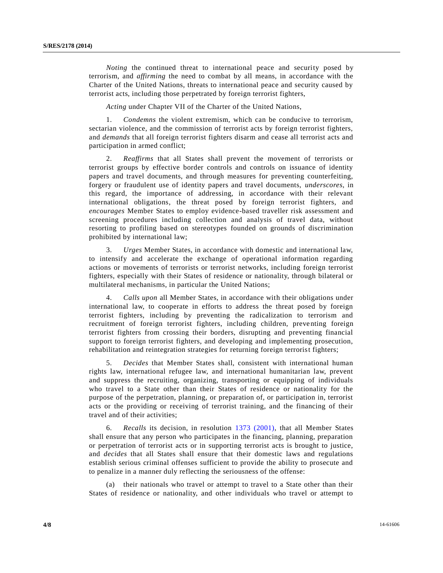*Noting* the continued threat to international peace and security posed by terrorism, and *affirming* the need to combat by all means, in accordance with the Charter of the United Nations, threats to international peace and security caused by terrorist acts, including those perpetrated by foreign terrorist fighters,

*Acting* under Chapter VII of the Charter of the United Nations,

1. *Condemns* the violent extremism, which can be conducive to terrorism, sectarian violence, and the commission of terrorist acts by foreign terrorist fighters, and *demands* that all foreign terrorist fighters disarm and cease all terrorist acts and participation in armed conflict;

2. *Reaffirms* that all States shall prevent the movement of terrorists or terrorist groups by effective border controls and controls on issuance of identity papers and travel documents, and through measures for preventing counterfeiting, forgery or fraudulent use of identity papers and travel documents, *underscores*, in this regard, the importance of addressing, in accordance with their relevant international obligations, the threat posed by foreign terrorist fighters, and *encourages* Member States to employ evidence-based traveller risk assessment and screening procedures including collection and analysis of travel data, without resorting to profiling based on stereotypes founded on grounds of discrimination prohibited by international law;

3. *Urges* Member States, in accordance with domestic and international law, to intensify and accelerate the exchange of operational information regarding actions or movements of terrorists or terrorist networks, including foreign terrorist fighters, especially with their States of residence or nationality, through bilateral or multilateral mechanisms, in particular the United Nations;

4. *Calls upon* all Member States, in accordance with their obligations under international law, to cooperate in efforts to address the threat posed by foreign terrorist fighters, including by preventing the radicalization to terrorism and recruitment of foreign terrorist fighters, including children, preventing foreign terrorist fighters from crossing their borders, disrupting and preventing financial support to foreign terrorist fighters, and developing and implementing prosecution, rehabilitation and reintegration strategies for returning foreign terrorist fighters;

5. *Decides* that Member States shall, consistent with international human rights law, international refugee law, and international humanitarian law, prevent and suppress the recruiting, organizing, transporting or equipping of individuals who travel to a State other than their States of residence or nationality for the purpose of the perpetration, planning, or preparation of, or participation in, terrorist acts or the providing or receiving of terrorist training, and the financing of their travel and of their activities;

6. *Recalls* its decision, in resolution [1373 \(2001\),](http://undocs.org/S/RES/1373(2001)) that all Member States shall ensure that any person who participates in the financing, planning, preparation or perpetration of terrorist acts or in supporting terrorist acts is brought to justice, and *decides* that all States shall ensure that their domestic laws and regulations establish serious criminal offenses sufficient to provide the ability to prosecute and to penalize in a manner duly reflecting the seriousness of the offense:

(a) their nationals who travel or attempt to travel to a State other than their States of residence or nationality, and other individuals who travel or attempt to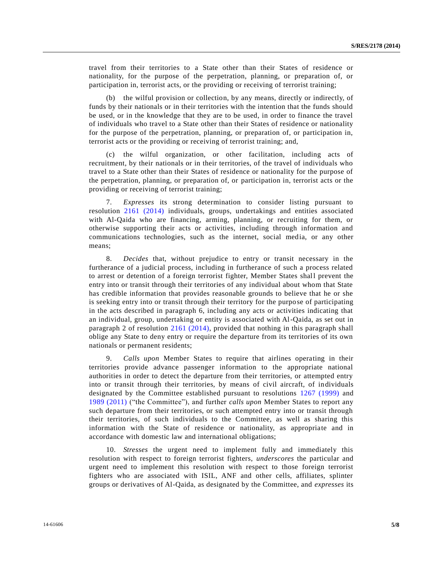travel from their territories to a State other than their States of residence or nationality, for the purpose of the perpetration, planning, or preparation of, or participation in, terrorist acts, or the providing or receiving of terrorist training;

(b) the wilful provision or collection, by any means, directly or indirectly, of funds by their nationals or in their territories with the intention that the funds should be used, or in the knowledge that they are to be used, in order to finance the travel of individuals who travel to a State other than their States of residence or nationality for the purpose of the perpetration, planning, or preparation of, or participation in, terrorist acts or the providing or receiving of terrorist training; and,

(c) the wilful organization, or other facilitation, including acts of recruitment, by their nationals or in their territories, of the travel of individuals who travel to a State other than their States of residence or nationality for the purpose of the perpetration, planning, or preparation of, or participation in, terrorist acts or the providing or receiving of terrorist training;

7. *Expresses* its strong determination to consider listing pursuant to resolution [2161 \(2014\)](http://undocs.org/S/RES/2161(2014)) individuals, groups, undertakings and entities associated with Al-Qaida who are financing, arming, planning, or recruiting for them, or otherwise supporting their acts or activities, including through information and communications technologies, such as the internet, social media, or any other means;

8. *Decides* that, without prejudice to entry or transit necessary in the furtherance of a judicial process, including in furtherance of such a process related to arrest or detention of a foreign terrorist fighter, Member States shall prevent the entry into or transit through their territories of any individual about whom that State has credible information that provides reasonable grounds to believe that he or she is seeking entry into or transit through their territory for the purpo se of participating in the acts described in paragraph 6, including any acts or activities indicating that an individual, group, undertaking or entity is associated with Al-Qaida, as set out in paragraph 2 of resolution [2161 \(2014\),](http://undocs.org/S/RES/2161(2014)) provided that nothing in this paragraph shall oblige any State to deny entry or require the departure from its territories of its own nationals or permanent residents;

9. *Calls upon* Member States to require that airlines operating in their territories provide advance passenger information to the appropriate national authorities in order to detect the departure from their territories, or attempted entry into or transit through their territories, by means of civil aircraft, of individuals designated by the Committee established pursuant to resolutions [1267 \(1999\)](http://undocs.org/S/RES/1267(1999)) and [1989 \(2011\)](http://undocs.org/S/RES/1989(2011)) ("the Committee"), and further *calls upon* Member States to report any such departure from their territories, or such attempted entry into or transit through their territories, of such individuals to the Committee, as well as sharing this information with the State of residence or nationality, as appropriate and in accordance with domestic law and international obligations;

10. *Stresses* the urgent need to implement fully and immediately this resolution with respect to foreign terrorist fighters, *underscores* the particular and urgent need to implement this resolution with respect to those foreign terrorist fighters who are associated with ISIL, ANF and other cells, affiliates, splinter groups or derivatives of Al-Qaida, as designated by the Committee, and *expresses* its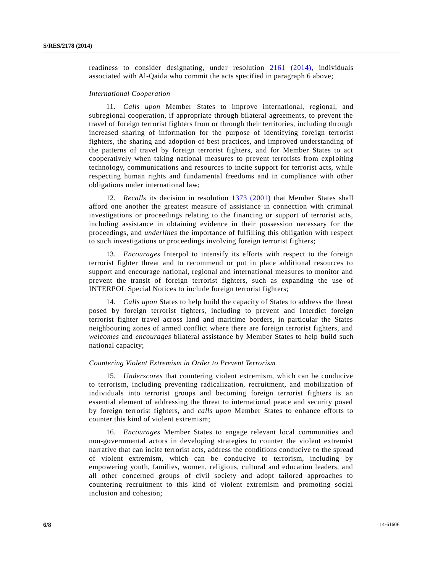readiness to consider designating, under resolution [2161 \(2014\),](http://undocs.org/S/RES/2161(2014)) individuals associated with Al-Qaida who commit the acts specified in paragraph 6 above;

#### *International Cooperation*

11. *Calls upon* Member States to improve international, regional, and subregional cooperation, if appropriate through bilateral agreements, to prevent the travel of foreign terrorist fighters from or through their territories, including through increased sharing of information for the purpose of identifying fore ign terrorist fighters, the sharing and adoption of best practices, and improved understanding of the patterns of travel by foreign terrorist fighters, and for Member States to act cooperatively when taking national measures to prevent terrorists from exploiting technology, communications and resources to incite support for terrorist acts, while respecting human rights and fundamental freedoms and in compliance with other obligations under international law;

12. *Recalls* its decision in resolution [1373 \(2001\)](http://undocs.org/S/RES/1373(2001)) that Member States shall afford one another the greatest measure of assistance in connection with criminal investigations or proceedings relating to the financing or support of terrorist acts, including assistance in obtaining evidence in their possession necessary for the proceedings, and *underlines* the importance of fulfilling this obligation with respect to such investigations or proceedings involving foreign terrorist fighters;

13. *Encourages* Interpol to intensify its efforts with respect to the foreign terrorist fighter threat and to recommend or put in place additional resources to support and encourage national, regional and international measures to monitor and prevent the transit of foreign terrorist fighters, such as expanding the use of INTERPOL Special Notices to include foreign terrorist fighters;

14. *Calls upon* States to help build the capacity of States to address the threat posed by foreign terrorist fighters, including to prevent and interdict foreign terrorist fighter travel across land and maritime borders, in particular the States neighbouring zones of armed conflict where there are foreign terrorist fighters, and *welcomes* and *encourages* bilateral assistance by Member States to help build such national capacity;

#### *Countering Violent Extremism in Order to Prevent Terrorism*

15. *Underscores* that countering violent extremism, which can be conducive to terrorism, including preventing radicalization, recruitment, and mobilization of individuals into terrorist groups and becoming foreign terrorist fighters is an essential element of addressing the threat to international peace and security posed by foreign terrorist fighters, and *calls upon* Member States to enhance efforts to counter this kind of violent extremism;

16. *Encourages* Member States to engage relevant local communities and non-governmental actors in developing strategies to counter the violent extremist narrative that can incite terrorist acts, address the conditions conducive to the spread of violent extremism, which can be conducive to terrorism, including by empowering youth, families, women, religious, cultural and education leaders, and all other concerned groups of civil society and adopt tailored approaches to countering recruitment to this kind of violent extremism and promoting social inclusion and cohesion;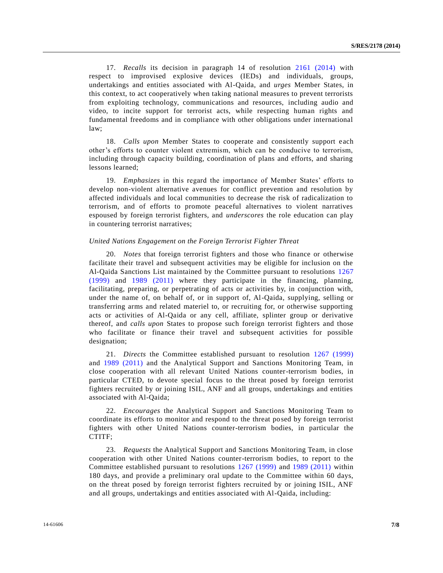17. *Recalls* its decision in paragraph 14 of resolution [2161 \(2014\)](http://undocs.org/S/RES/2161(2014)) with respect to improvised explosive devices (IEDs) and individuals, groups, undertakings and entities associated with Al-Qaida, and *urges* Member States, in this context, to act cooperatively when taking national measures to prevent terrorists from exploiting technology, communications and resources, including audio and video, to incite support for terrorist acts, while respecting human rights and fundamental freedoms and in compliance with other obligations under international law;

18. *Calls upon* Member States to cooperate and consistently support each other's efforts to counter violent extremism, which can be conducive to terrorism, including through capacity building, coordination of plans and efforts, and sharing lessons learned;

19. *Emphasizes* in this regard the importance of Member States' efforts to develop non-violent alternative avenues for conflict prevention and resolution by affected individuals and local communities to decrease the risk of radicalization to terrorism, and of efforts to promote peaceful alternatives to violent narratives espoused by foreign terrorist fighters, and *underscores* the role education can play in countering terrorist narratives;

### *United Nations Engagement on the Foreign Terrorist Fighter Threat*

20. *Notes* that foreign terrorist fighters and those who finance or otherwise facilitate their travel and subsequent activities may be eligible for inclusion on the Al-Qaida Sanctions List maintained by the Committee pursuant to resolutions [1267](http://undocs.org/S/RES/1267(1999))  [\(1999\)](http://undocs.org/S/RES/1267(1999)) and [1989 \(2011\)](http://undocs.org/S/RES/1989(2011)) where they participate in the financing, planning, facilitating, preparing, or perpetrating of acts or activities by, in conjunction with, under the name of, on behalf of, or in support of, Al-Qaida, supplying, selling or transferring arms and related materiel to, or recruiting for, or otherwise supporting acts or activities of Al-Qaida or any cell, affiliate, splinter group or derivative thereof, and *calls upon* States to propose such foreign terrorist fighters and those who facilitate or finance their travel and subsequent activities for possible designation;

21. *Directs* the Committee established pursuant to resolution [1267 \(1999\)](http://undocs.org/S/RES/1267(1999)) and [1989 \(2011\)](http://undocs.org/S/RES/1989(2011)) and the Analytical Support and Sanctions Monitoring Team, in close cooperation with all relevant United Nations counter-terrorism bodies, in particular CTED, to devote special focus to the threat posed by foreign terrorist fighters recruited by or joining ISIL, ANF and all groups, undertakings and entities associated with Al-Qaida;

22. *Encourages* the Analytical Support and Sanctions Monitoring Team to coordinate its efforts to monitor and respond to the threat posed by foreign terrorist fighters with other United Nations counter-terrorism bodies, in particular the CTITF;

23. *Requests* the Analytical Support and Sanctions Monitoring Team, in close cooperation with other United Nations counter-terrorism bodies, to report to the Committee established pursuant to resolutions [1267 \(1999\)](http://undocs.org/S/RES/1267(1999)) and [1989 \(2011\)](http://undocs.org/S/RES/1989(2011)) within 180 days, and provide a preliminary oral update to the Committee within 60 days, on the threat posed by foreign terrorist fighters recruited by or joining ISIL, ANF and all groups, undertakings and entities associated with Al-Qaida, including: